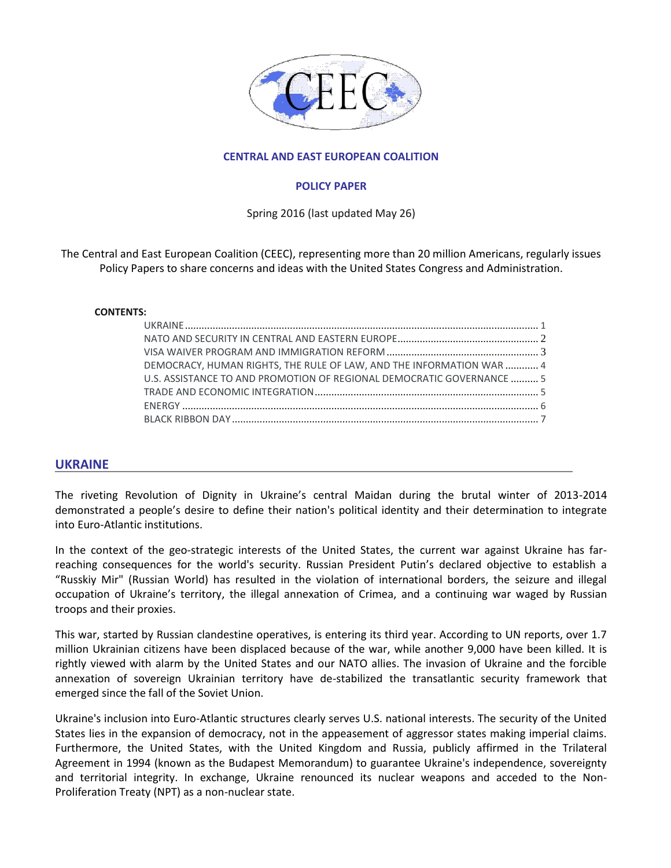

### **CENTRAL AND EAST EUROPEAN COALITION**

#### **POLICY PAPER**

Spring 2016 (last updated May 26)

The Central and East European Coalition (CEEC), representing more than 20 million Americans, regularly issues Policy Papers to share concerns and ideas with the United States Congress and Administration.

#### **CONTENTS:**

| DEMOCRACY, HUMAN RIGHTS, THE RULE OF LAW, AND THE INFORMATION WAR  4  |  |
|-----------------------------------------------------------------------|--|
| U.S. ASSISTANCE TO AND PROMOTION OF REGIONAL DEMOCRATIC GOVERNANCE  5 |  |
|                                                                       |  |
|                                                                       |  |
|                                                                       |  |

## **UKRAINE**

The riveting Revolution of Dignity in Ukraine's central Maidan during the brutal winter of 2013-2014 demonstrated a people's desire to define their nation's political identity and their determination to integrate into Euro-Atlantic institutions.

In the context of the geo-strategic interests of the United States, the current war against Ukraine has farreaching consequences for the world's security. Russian President Putin's declared objective to establish a "Russkiy Mir" (Russian World) has resulted in the violation of international borders, the seizure and illegal occupation of Ukraine's territory, the illegal annexation of Crimea, and a continuing war waged by Russian troops and their proxies.

This war, started by Russian clandestine operatives, is entering its third year. According to UN reports, over 1.7 million Ukrainian citizens have been displaced because of the war, while another 9,000 have been killed. It is rightly viewed with alarm by the United States and our NATO allies. The invasion of Ukraine and the forcible annexation of sovereign Ukrainian territory have de-stabilized the transatlantic security framework that emerged since the fall of the Soviet Union.

Ukraine's inclusion into Euro-Atlantic structures clearly serves U.S. national interests. The security of the United States lies in the expansion of democracy, not in the appeasement of aggressor states making imperial claims. Furthermore, the United States, with the United Kingdom and Russia, publicly affirmed in the Trilateral Agreement in 1994 (known as the Budapest Memorandum) to guarantee Ukraine's independence, sovereignty and territorial integrity. In exchange, Ukraine renounced its nuclear weapons and acceded to the Non-Proliferation Treaty (NPT) as a non-nuclear state.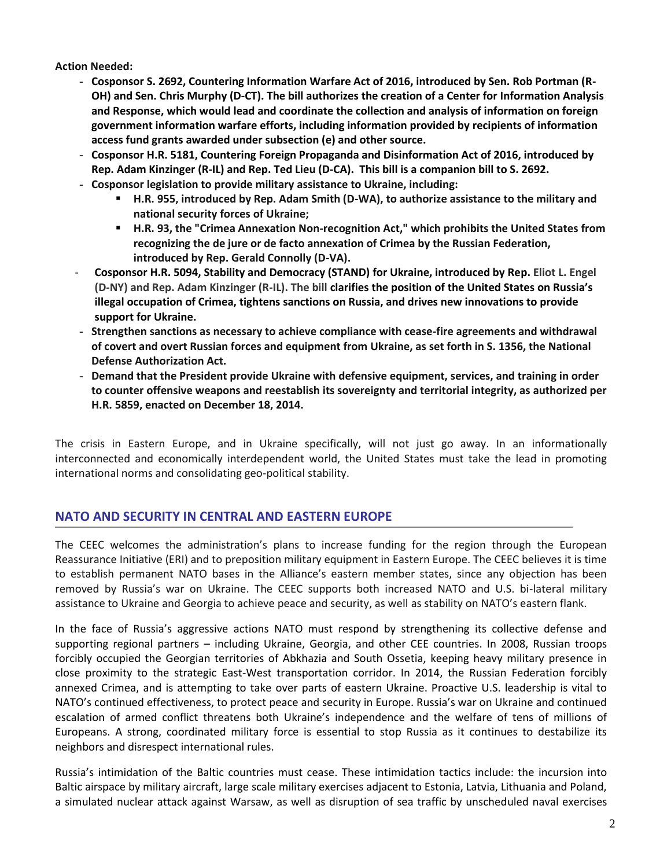**Action Needed:**

- **Cosponsor S. 2692, Countering Information Warfare Act of 2016, introduced by Sen. Rob Portman (R-OH) and Sen. Chris Murphy (D-CT). The bill authorizes the creation of a Center for Information Analysis and Response, which would lead and coordinate the collection and analysis of information on foreign government information warfare efforts, including information provided by recipients of information access fund grants awarded under subsection (e) and other source.**
- **Cosponsor H.R. 5181, Countering Foreign Propaganda and Disinformation Act of 2016, introduced by Rep. Adam Kinzinger (R-IL) and Rep. Ted Lieu (D-CA). This bill is a companion bill to S. 2692.**
- **Cosponsor legislation to provide military assistance to Ukraine, including:**
	- **H.R. 955, introduced by Rep. Adam Smith (D-WA), to authorize assistance to the military and national security forces of Ukraine;**
	- **H.R. 93, the "Crimea Annexation Non-recognition Act," which prohibits the United States from recognizing the de jure or de facto annexation of Crimea by the Russian Federation, introduced by Rep. Gerald Connolly (D-VA).**
- **Cosponsor H.R. 5094, Stability and Democracy (STAND) for Ukraine, introduced by Rep. Eliot L. Engel (D-NY) and Rep. Adam Kinzinger (R-IL). The bill clarifies the position of the United States on Russia's illegal occupation of Crimea, tightens sanctions on Russia, and drives new innovations to provide support for Ukraine.**
- **Strengthen sanctions as necessary to achieve compliance with cease-fire agreements and withdrawal of covert and overt Russian forces and equipment from Ukraine, as set forth in S. 1356, the National Defense Authorization Act.**
- **Demand that the President provide Ukraine with defensive equipment, services, and training in order to counter offensive weapons and reestablish its sovereignty and territorial integrity, as authorized per H.R. 5859, enacted on December 18, 2014.**

The crisis in Eastern Europe, and in Ukraine specifically, will not just go away. In an informationally interconnected and economically interdependent world, the United States must take the lead in promoting international norms and consolidating geo-political stability.

# **NATO AND SECURITY IN CENTRAL AND EASTERN EUROPE**

The CEEC welcomes the administration's plans to increase funding for the region through the European Reassurance Initiative (ERI) and to preposition military equipment in Eastern Europe. The CEEC believes it is time to establish permanent NATO bases in the Alliance's eastern member states, since any objection has been removed by Russia's war on Ukraine. The CEEC supports both increased NATO and U.S. bi-lateral military assistance to Ukraine and Georgia to achieve peace and security, as well as stability on NATO's eastern flank.

In the face of Russia's aggressive actions NATO must respond by strengthening its collective defense and supporting regional partners – including Ukraine, Georgia, and other CEE countries. In 2008, Russian troops forcibly occupied the Georgian territories of Abkhazia and South Ossetia, keeping heavy military presence in close proximity to the strategic East-West transportation corridor. In 2014, the Russian Federation forcibly annexed Crimea, and is attempting to take over parts of eastern Ukraine. Proactive U.S. leadership is vital to NATO's continued effectiveness, to protect peace and security in Europe. Russia's war on Ukraine and continued escalation of armed conflict threatens both Ukraine's independence and the welfare of tens of millions of Europeans. A strong, coordinated military force is essential to stop Russia as it continues to destabilize its neighbors and disrespect international rules.

Russia's intimidation of the Baltic countries must cease. These intimidation tactics include: the incursion into Baltic airspace by military aircraft, large scale military exercises adjacent to Estonia, Latvia, Lithuania and Poland, a simulated nuclear attack against Warsaw, as well as disruption of sea traffic by unscheduled naval exercises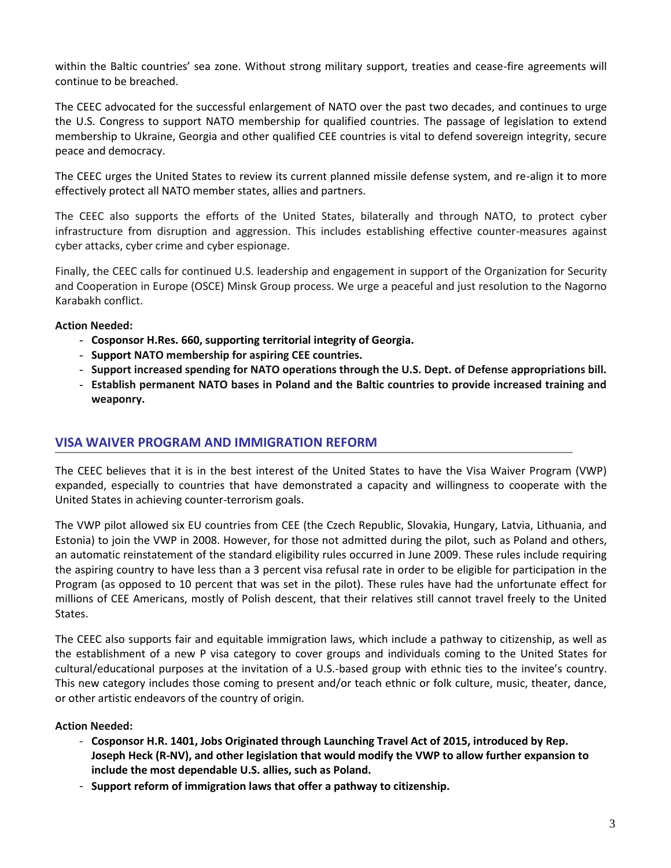within the Baltic countries' sea zone. Without strong military support, treaties and cease-fire agreements will continue to be breached.

The CEEC advocated for the successful enlargement of NATO over the past two decades, and continues to urge the U.S. Congress to support NATO membership for qualified countries. The passage of legislation to extend membership to Ukraine, Georgia and other qualified CEE countries is vital to defend sovereign integrity, secure peace and democracy.

The CEEC urges the United States to review its current planned missile defense system, and re-align it to more effectively protect all NATO member states, allies and partners.

The CEEC also supports the efforts of the United States, bilaterally and through NATO, to protect cyber infrastructure from disruption and aggression. This includes establishing effective counter-measures against cyber attacks, cyber crime and cyber espionage.

Finally, the CEEC calls for continued U.S. leadership and engagement in support of the Organization for Security and Cooperation in Europe (OSCE) Minsk Group process. We urge a peaceful and just resolution to the Nagorno Karabakh conflict.

**Action Needed:**

- **Cosponsor H.Res. 660, supporting territorial integrity of Georgia.**
- **Support NATO membership for aspiring CEE countries.**
- **Support increased spending for NATO operations through the U.S. Dept. of Defense appropriations bill.**
- **Establish permanent NATO bases in Poland and the Baltic countries to provide increased training and weaponry.**

## **VISA WAIVER PROGRAM AND IMMIGRATION REFORM**

The CEEC believes that it is in the best interest of the United States to have the Visa Waiver Program (VWP) expanded, especially to countries that have demonstrated a capacity and willingness to cooperate with the United States in achieving counter-terrorism goals.

The VWP pilot allowed six EU countries from CEE (the Czech Republic, Slovakia, Hungary, Latvia, Lithuania, and Estonia) to join the VWP in 2008. However, for those not admitted during the pilot, such as Poland and others, an automatic reinstatement of the standard eligibility rules occurred in June 2009. These rules include requiring the aspiring country to have less than a 3 percent visa refusal rate in order to be eligible for participation in the Program (as opposed to 10 percent that was set in the pilot). These rules have had the unfortunate effect for millions of CEE Americans, mostly of Polish descent, that their relatives still cannot travel freely to the United States.

The CEEC also supports fair and equitable immigration laws, which include a pathway to citizenship, as well as the establishment of a new P visa category to cover groups and individuals coming to the United States for cultural/educational purposes at the invitation of a U.S.-based group with ethnic ties to the invitee's country. This new category includes those coming to present and/or teach ethnic or folk culture, music, theater, dance, or other artistic endeavors of the country of origin.

#### **Action Needed:**

- **Cosponsor H.R. 1401, Jobs Originated through Launching Travel Act of 2015, introduced by Rep. Joseph Heck (R-NV), and other legislation that would modify the VWP to allow further expansion to include the most dependable U.S. allies, such as Poland.**
- **Support reform of immigration laws that offer a pathway to citizenship.**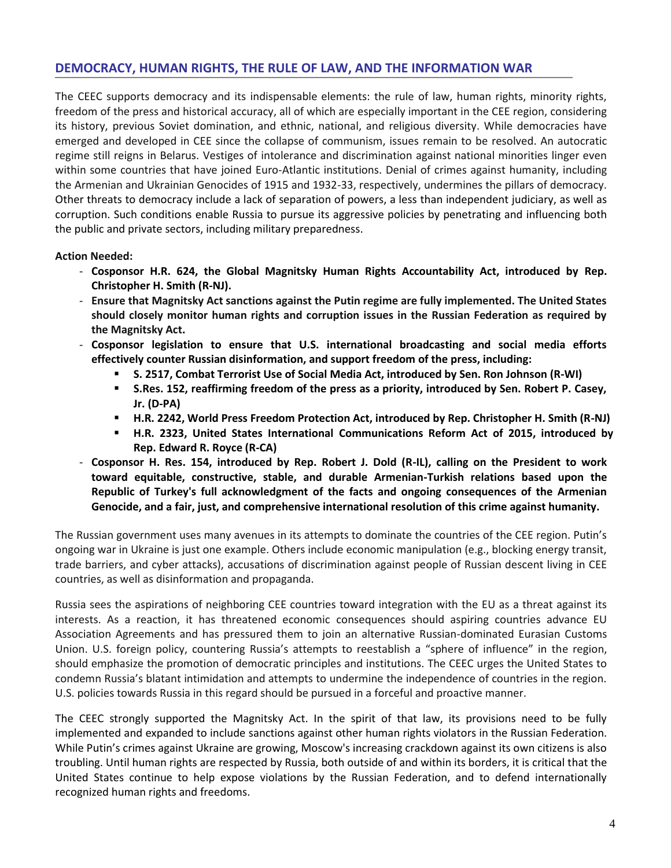# **DEMOCRACY, HUMAN RIGHTS, THE RULE OF LAW, AND THE INFORMATION WAR**

The CEEC supports democracy and its indispensable elements: the rule of law, human rights, minority rights, freedom of the press and historical accuracy, all of which are especially important in the CEE region, considering its history, previous Soviet domination, and ethnic, national, and religious diversity. While democracies have emerged and developed in CEE since the collapse of communism, issues remain to be resolved. An autocratic regime still reigns in Belarus. Vestiges of intolerance and discrimination against national minorities linger even within some countries that have joined Euro-Atlantic institutions. Denial of crimes against humanity, including the Armenian and Ukrainian Genocides of 1915 and 1932-33, respectively, undermines the pillars of democracy. Other threats to democracy include a lack of separation of powers, a less than independent judiciary, as well as corruption. Such conditions enable Russia to pursue its aggressive policies by penetrating and influencing both the public and private sectors, including military preparedness.

**Action Needed:**

- **Cosponsor H.R. 624, the Global Magnitsky Human Rights Accountability Act, introduced by Rep. Christopher H. Smith (R-NJ).**
- **Ensure that Magnitsky Act sanctions against the Putin regime are fully implemented. The United States should closely monitor human rights and corruption issues in the Russian Federation as required by the Magnitsky Act.**
- **Cosponsor legislation to ensure that U.S. international broadcasting and social media efforts effectively counter Russian disinformation, and support freedom of the press, including:**
	- **S. 2517, Combat Terrorist Use of Social Media Act, introduced by Sen. Ron Johnson (R-WI)**
	- **S.Res. 152, reaffirming freedom of the press as a priority, introduced by Sen. Robert P. Casey, Jr. (D-PA)**
	- **H.R. 2242, World Press Freedom Protection Act, introduced by Rep. Christopher H. Smith (R-NJ)**
	- **H.R. 2323, United States International Communications Reform Act of 2015, introduced by Rep. Edward R. Royce (R-CA)**
- **Cosponsor H. Res. 154, introduced by Rep. Robert J. Dold (R-IL), calling on the President to work toward equitable, constructive, stable, and durable Armenian-Turkish relations based upon the Republic of Turkey's full acknowledgment of the facts and ongoing consequences of the Armenian Genocide, and a fair, just, and comprehensive international resolution of this crime against humanity.**

The Russian government uses many avenues in its attempts to dominate the countries of the CEE region. Putin's ongoing war in Ukraine is just one example. Others include economic manipulation (e.g., blocking energy transit, trade barriers, and cyber attacks), accusations of discrimination against people of Russian descent living in CEE countries, as well as disinformation and propaganda.

Russia sees the aspirations of neighboring CEE countries toward integration with the EU as a threat against its interests. As a reaction, it has threatened economic consequences should aspiring countries advance EU Association Agreements and has pressured them to join an alternative Russian-dominated Eurasian Customs Union. U.S. foreign policy, countering Russia's attempts to reestablish a "sphere of influence" in the region, should emphasize the promotion of democratic principles and institutions. The CEEC urges the United States to condemn Russia's blatant intimidation and attempts to undermine the independence of countries in the region. U.S. policies towards Russia in this regard should be pursued in a forceful and proactive manner.

The CEEC strongly supported the Magnitsky Act. In the spirit of that law, its provisions need to be fully implemented and expanded to include sanctions against other human rights violators in the Russian Federation. While Putin's crimes against Ukraine are growing, Moscow's increasing crackdown against its own citizens is also troubling. Until human rights are respected by Russia, both outside of and within its borders, it is critical that the United States continue to help expose violations by the Russian Federation, and to defend internationally recognized human rights and freedoms.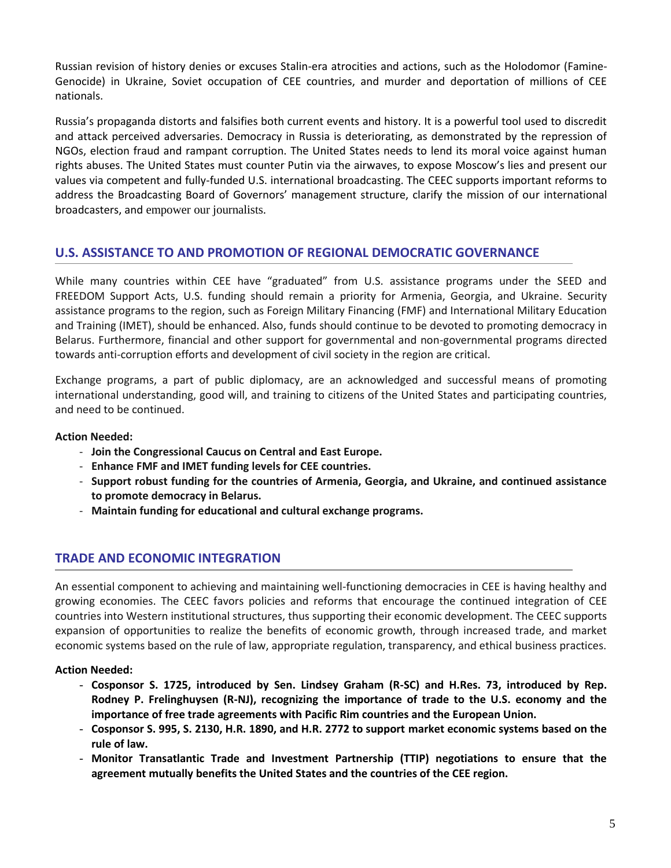Russian revision of history denies or excuses Stalin-era atrocities and actions, such as the Holodomor (Famine-Genocide) in Ukraine, Soviet occupation of CEE countries, and murder and deportation of millions of CEE nationals.

Russia's propaganda distorts and falsifies both current events and history. It is a powerful tool used to discredit and attack perceived adversaries. Democracy in Russia is deteriorating, as demonstrated by the repression of NGOs, election fraud and rampant corruption. The United States needs to lend its moral voice against human rights abuses. The United States must counter Putin via the airwaves, to expose Moscow's lies and present our values via competent and fully-funded U.S. international broadcasting. The CEEC supports important reforms to address the Broadcasting Board of Governors' management structure, clarify the mission of our international broadcasters, and empower our journalists.

# **U.S. ASSISTANCE TO AND PROMOTION OF REGIONAL DEMOCRATIC GOVERNANCE**

While many countries within CEE have "graduated" from U.S. assistance programs under the SEED and FREEDOM Support Acts, U.S. funding should remain a priority for Armenia, Georgia, and Ukraine. Security assistance programs to the region, such as Foreign Military Financing (FMF) and International Military Education and Training (IMET), should be enhanced. Also, funds should continue to be devoted to promoting democracy in Belarus. Furthermore, financial and other support for governmental and non-governmental programs directed towards anti-corruption efforts and development of civil society in the region are critical.

Exchange programs, a part of public diplomacy, are an acknowledged and successful means of promoting international understanding, good will, and training to citizens of the United States and participating countries, and need to be continued.

### **Action Needed:**

- **Join the Congressional Caucus on Central and East Europe.**
- **Enhance FMF and IMET funding levels for CEE countries.**
- **Support robust funding for the countries of Armenia, Georgia, and Ukraine, and continued assistance to promote democracy in Belarus.**
- **Maintain funding for educational and cultural exchange programs.**

# **TRADE AND ECONOMIC INTEGRATION**

An essential component to achieving and maintaining well-functioning democracies in CEE is having healthy and growing economies. The CEEC favors policies and reforms that encourage the continued integration of CEE countries into Western institutional structures, thus supporting their economic development. The CEEC supports expansion of opportunities to realize the benefits of economic growth, through increased trade, and market economic systems based on the rule of law, appropriate regulation, transparency, and ethical business practices.

#### **Action Needed:**

- **Cosponsor S. 1725, introduced by Sen. Lindsey Graham (R-SC) and H.Res. 73, introduced by Rep. Rodney P. Frelinghuysen (R-NJ), recognizing the importance of trade to the U.S. economy and the importance of free trade agreements with Pacific Rim countries and the European Union.**
- **Cosponsor S. 995, S. 2130, H.R. 1890, and H.R. 2772 to support market economic systems based on the rule of law.**
- **Monitor Transatlantic Trade and Investment Partnership (TTIP) negotiations to ensure that the agreement mutually benefits the United States and the countries of the CEE region.**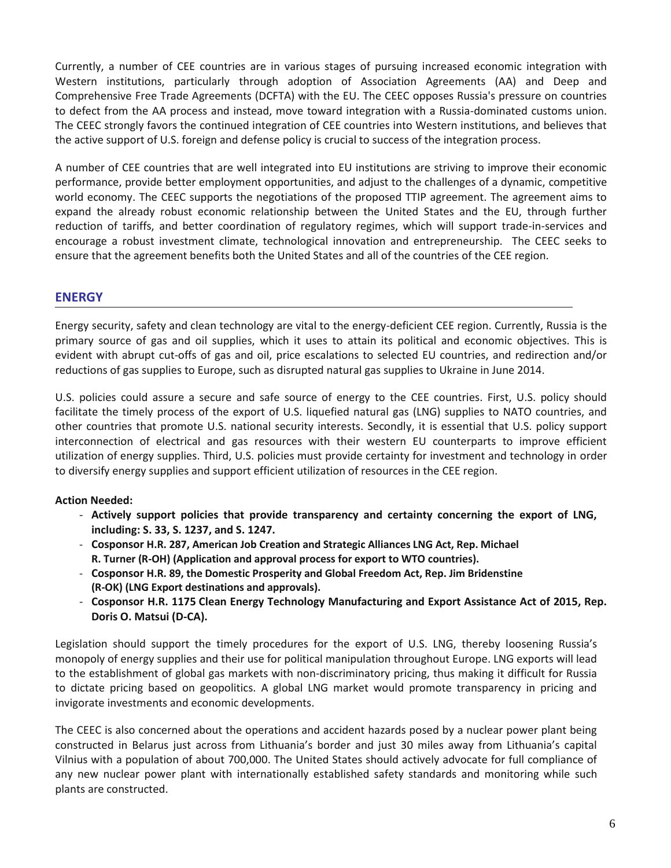Currently, a number of CEE countries are in various stages of pursuing increased economic integration with Western institutions, particularly through adoption of Association Agreements (AA) and Deep and Comprehensive Free Trade Agreements (DCFTA) with the EU. The CEEC opposes Russia's pressure on countries to defect from the AA process and instead, move toward integration with a Russia-dominated customs union. The CEEC strongly favors the continued integration of CEE countries into Western institutions, and believes that the active support of U.S. foreign and defense policy is crucial to success of the integration process.

A number of CEE countries that are well integrated into EU institutions are striving to improve their economic performance, provide better employment opportunities, and adjust to the challenges of a dynamic, competitive world economy. The CEEC supports the negotiations of the proposed TTIP agreement. The agreement aims to expand the already robust economic relationship between the United States and the EU, through further reduction of tariffs, and better coordination of regulatory regimes, which will support trade-in-services and encourage a robust investment climate, technological innovation and entrepreneurship. The CEEC seeks to ensure that the agreement benefits both the United States and all of the countries of the CEE region.

## **ENERGY**

Energy security, safety and clean technology are vital to the energy-deficient CEE region. Currently, Russia is the primary source of gas and oil supplies, which it uses to attain its political and economic objectives. This is evident with abrupt cut-offs of gas and oil, price escalations to selected EU countries, and redirection and/or reductions of gas supplies to Europe, such as disrupted natural gas supplies to Ukraine in June 2014.

U.S. policies could assure a secure and safe source of energy to the CEE countries. First, U.S. policy should facilitate the timely process of the export of U.S. liquefied natural gas (LNG) supplies to NATO countries, and other countries that promote U.S. national security interests. Secondly, it is essential that U.S. policy support interconnection of electrical and gas resources with their western EU counterparts to improve efficient utilization of energy supplies. Third, U.S. policies must provide certainty for investment and technology in order to diversify energy supplies and support efficient utilization of resources in the CEE region.

## **Action Needed:**

- **Actively support policies that provide transparency and certainty concerning the export of LNG, including: S. 33, S. 1237, and S. 1247.**
- **Cosponsor H.R. 287, American Job Creation and Strategic Alliances LNG Act, Rep. Michael R. Turner (R-OH) (Application and approval process for export to WTO countries).**
- **Cosponsor H.R. 89, the Domestic Prosperity and Global Freedom Act, Rep. Jim Bridenstine (R-OK) (LNG Export destinations and approvals).**
- **Cosponsor H.R. 1175 Clean Energy Technology Manufacturing and Export Assistance Act of 2015, Rep. Doris O. Matsui (D-CA).**

Legislation should support the timely procedures for the export of U.S. LNG, thereby loosening Russia's monopoly of energy supplies and their use for political manipulation throughout Europe. LNG exports will lead to the establishment of global gas markets with non-discriminatory pricing, thus making it difficult for Russia to dictate pricing based on geopolitics. A global LNG market would promote transparency in pricing and invigorate investments and economic developments.

The CEEC is also concerned about the operations and accident hazards posed by a nuclear power plant being constructed in Belarus just across from Lithuania's border and just 30 miles away from Lithuania's capital Vilnius with a population of about 700,000. The United States should actively advocate for full compliance of any new nuclear power plant with internationally established safety standards and monitoring while such plants are constructed.